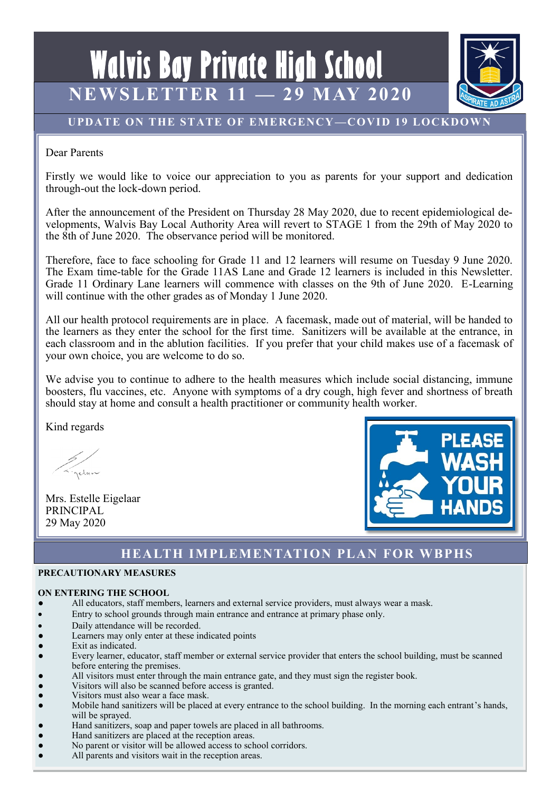



# **UPDATE ON THE STATE OF EMERGENCY—COVID 19 LOCKDOWN**

Dear Parents

Firstly we would like to voice our appreciation to you as parents for your support and dedication through-out the lock-down period.

After the announcement of the President on Thursday 28 May 2020, due to recent epidemiological developments, Walvis Bay Local Authority Area will revert to STAGE 1 from the 29th of May 2020 to the 8th of June 2020. The observance period will be monitored.

Therefore, face to face schooling for Grade 11 and 12 learners will resume on Tuesday 9 June 2020. The Exam time-table for the Grade 11AS Lane and Grade 12 learners is included in this Newsletter. Grade 11 Ordinary Lane learners will commence with classes on the 9th of June 2020. E-Learning will continue with the other grades as of Monday 1 June 2020.

All our health protocol requirements are in place. A facemask, made out of material, will be handed to the learners as they enter the school for the first time. Sanitizers will be available at the entrance, in each classroom and in the ablution facilities. If you prefer that your child makes use of a facemask of your own choice, you are welcome to do so.

We advise you to continue to adhere to the health measures which include social distancing, immune boosters, flu vaccines, etc. Anyone with symptoms of a dry cough, high fever and shortness of breath should stay at home and consult a health practitioner or community health worker.

Kind regards

gelan

Mrs. Estelle Eigelaar PRINCIPAL 29 May 2020



# **HEALTH IMPLEMENTATION PLAN FOR WBPHS**

## **PRECAUTIONARY MEASURES**

## **ON ENTERING THE SCHOOL**

- All educators, staff members, learners and external service providers, must always wear a mask.
- Entry to school grounds through main entrance and entrance at primary phase only.
- Daily attendance will be recorded.
- Learners may only enter at these indicated points
- Exit as indicated.
- Every learner, educator, staff member or external service provider that enters the school building, must be scanned before entering the premises.
- All visitors must enter through the main entrance gate, and they must sign the register book.
- Visitors will also be scanned before access is granted.
- Visitors must also wear a face mask.
- Mobile hand sanitizers will be placed at every entrance to the school building. In the morning each entrant's hands, will be sprayed.
- Hand sanitizers, soap and paper towels are placed in all bathrooms.
- Hand sanitizers are placed at the reception areas.
- No parent or visitor will be allowed access to school corridors.
- All parents and visitors wait in the reception areas.